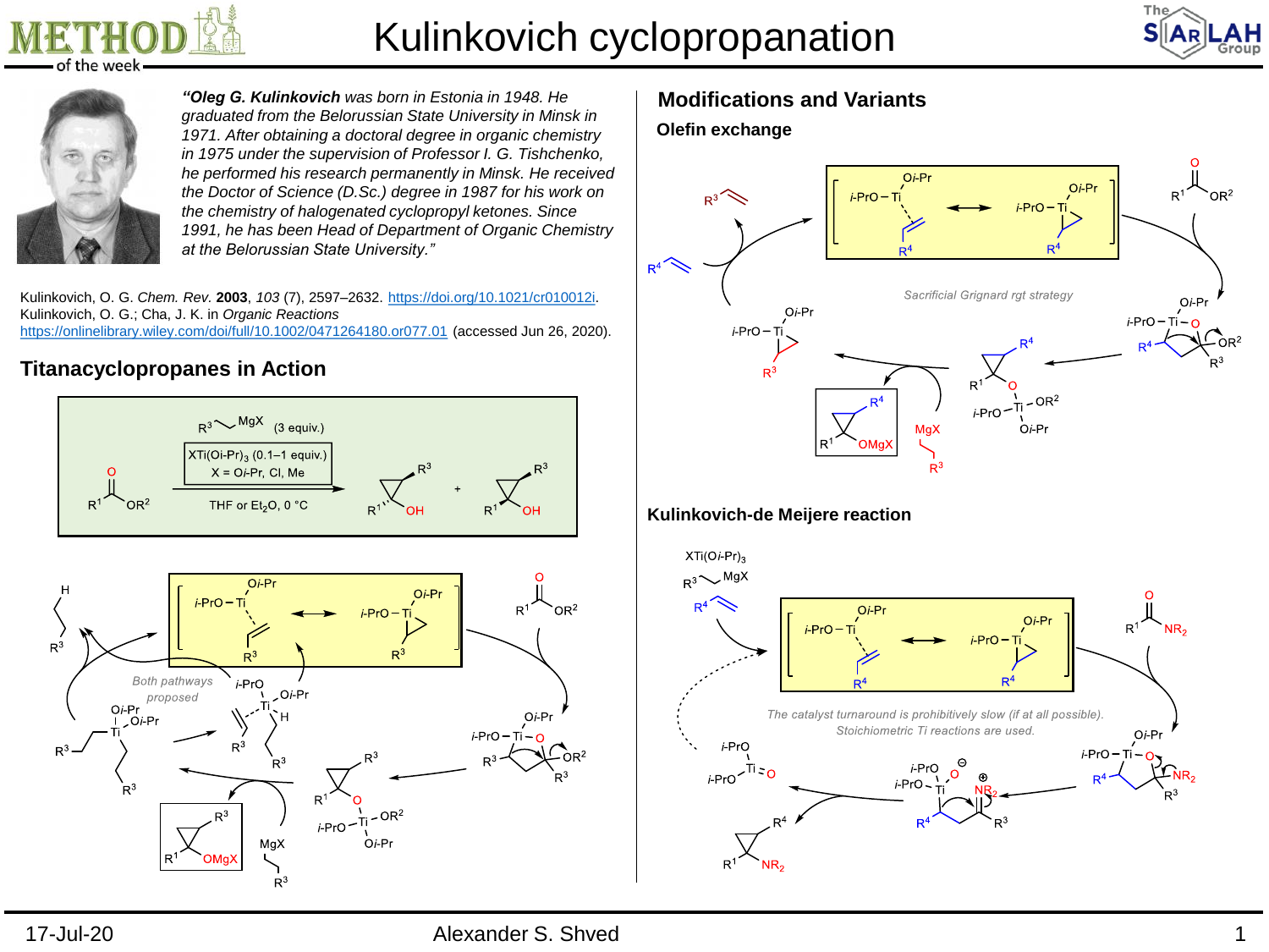

# Kulinkovich cyclopropanation





*"Oleg G. Kulinkovich was born in Estonia in 1948. He graduated from the Belorussian State University in Minsk in 1971. After obtaining a doctoral degree in organic chemistry in 1975 under the supervision of Professor I. G. Tishchenko, he performed his research permanently in Minsk. He received the Doctor of Science (D.Sc.) degree in 1987 for his work on the chemistry of halogenated cyclopropyl ketones. Since 1991, he has been Head of Department of Organic Chemistry at the Belorussian State University."*

Kulinkovich, O. G. *Chem. Rev.* **2003**, *103* (7), 2597–2632. [https://doi.org/10.1021/cr010012i.](https://doi.org/10.1021/cr010012i) Kulinkovich, O. G.; Cha, J. K. in *Organic Reactions* <https://onlinelibrary.wiley.com/doi/full/10.1002/0471264180.or077.01> (accessed Jun 26, 2020).

### **Titanacyclopropanes in Action**



## **Modifications and Variants**





### **Kulinkovich-de Meijere reaction**